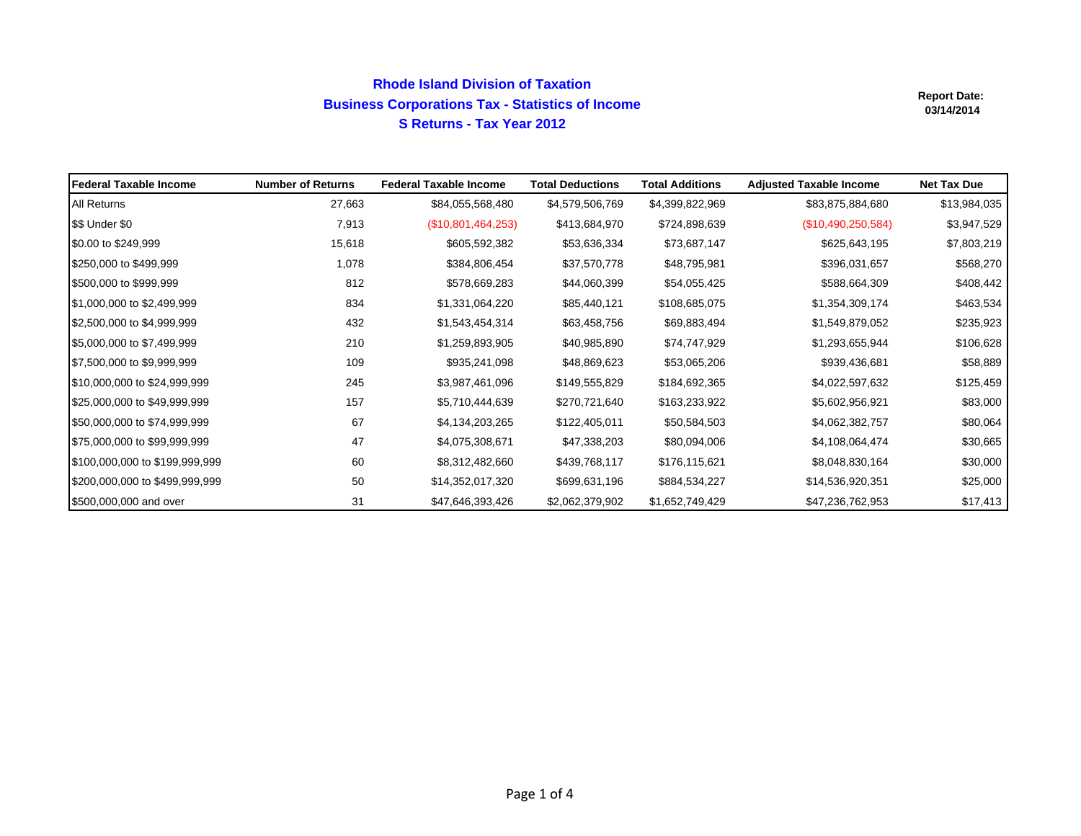## **Rhode Island Division of Taxation Business Corporations Tax - Statistics of Income S Returns - Tax Year 2012**

| <b>IFederal Taxable Income</b> | <b>Number of Returns</b> | <b>Federal Taxable Income</b> | <b>Total Deductions</b> | <b>Total Additions</b> | <b>Adjusted Taxable Income</b> | <b>Net Tax Due</b> |
|--------------------------------|--------------------------|-------------------------------|-------------------------|------------------------|--------------------------------|--------------------|
| All Returns                    | 27,663                   | \$84,055,568,480              | \$4,579,506,769         | \$4,399,822,969        | \$83,875,884,680               | \$13,984,035       |
| \$\$ Under \$0                 | 7,913                    | (\$10,801,464,253)            | \$413,684,970           | \$724,898,639          | (\$10,490,250,584)             | \$3,947,529        |
| \$0.00 to \$249,999            | 15,618                   | \$605,592,382                 | \$53,636,334            | \$73,687,147           | \$625,643,195                  | \$7,803,219        |
| \$250,000 to \$499,999         | 1,078                    | \$384,806,454                 | \$37,570,778            | \$48,795,981           | \$396,031,657                  | \$568,270          |
| \$500,000 to \$999,999         | 812                      | \$578,669,283                 | \$44,060,399            | \$54,055,425           | \$588,664,309                  | \$408,442          |
| \$1,000,000 to \$2,499,999     | 834                      | \$1,331,064,220               | \$85,440,121            | \$108,685,075          | \$1,354,309,174                | \$463,534          |
| \$2,500,000 to \$4,999,999     | 432                      | \$1,543,454,314               | \$63,458,756            | \$69,883,494           | \$1,549,879,052                | \$235,923          |
| \$5,000,000 to \$7,499,999     | 210                      | \$1,259,893,905               | \$40,985,890            | \$74,747,929           | \$1,293,655,944                | \$106,628          |
| \$7,500,000 to \$9,999,999     | 109                      | \$935,241,098                 | \$48,869,623            | \$53,065,206           | \$939,436,681                  | \$58,889           |
| \$10,000,000 to \$24,999,999   | 245                      | \$3,987,461,096               | \$149,555,829           | \$184,692,365          | \$4,022,597,632                | \$125,459          |
| \$25,000,000 to \$49,999,999   | 157                      | \$5,710,444,639               | \$270,721,640           | \$163,233,922          | \$5,602,956,921                | \$83,000           |
| \$50,000,000 to \$74,999,999   | 67                       | \$4,134,203,265               | \$122,405,011           | \$50,584,503           | \$4,062,382,757                | \$80,064           |
| \$75,000,000 to \$99,999,999   | 47                       | \$4,075,308,671               | \$47,338,203            | \$80,094,006           | \$4,108,064,474                | \$30,665           |
| \$100,000,000 to \$199,999,999 | 60                       | \$8,312,482,660               | \$439,768,117           | \$176,115,621          | \$8,048,830,164                | \$30,000           |
| \$200,000,000 to \$499,999,999 | 50                       | \$14,352,017,320              | \$699,631,196           | \$884,534,227          | \$14,536,920,351               | \$25,000           |
| \$500,000,000 and over         | 31                       | \$47,646,393,426              | \$2,062,379,902         | \$1,652,749,429        | \$47,236,762,953               | \$17,413           |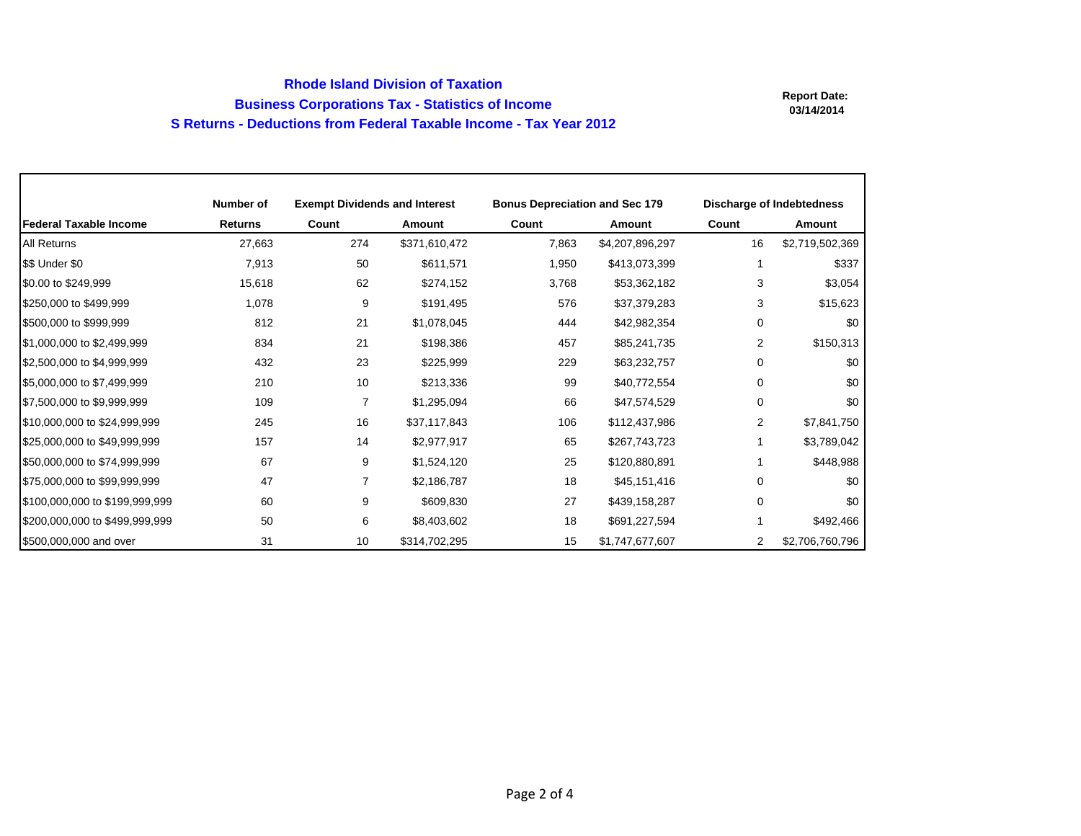## **Rhode Island Division of Taxation Business Corporations Tax - Statistics of Income S Returns - Deductions from Federal Taxable Income - Tax Year 2012**

|                                | Number of      | <b>Exempt Dividends and Interest</b> |               | <b>Bonus Depreciation and Sec 179</b> |                 | <b>Discharge of Indebtedness</b> |                 |
|--------------------------------|----------------|--------------------------------------|---------------|---------------------------------------|-----------------|----------------------------------|-----------------|
| <b>Federal Taxable Income</b>  | <b>Returns</b> | Count                                | Amount        | Count                                 | <b>Amount</b>   | Count                            | <b>Amount</b>   |
| All Returns                    | 27,663         | 274                                  | \$371,610,472 | 7,863                                 | \$4,207,896,297 | 16                               | \$2,719,502,369 |
| \$\$ Under \$0                 | 7,913          | 50                                   | \$611,571     | 1,950                                 | \$413,073,399   |                                  | \$337           |
| \$0.00 to \$249,999            | 15,618         | 62                                   | \$274,152     | 3,768                                 | \$53,362,182    | 3                                | \$3,054         |
| \$250,000 to \$499,999         | 1,078          | 9                                    | \$191,495     | 576                                   | \$37,379,283    | 3                                | \$15,623        |
| \$500,000 to \$999,999         | 812            | 21                                   | \$1,078,045   | 444                                   | \$42,982,354    | 0                                | \$0             |
| \$1,000,000 to \$2,499,999     | 834            | 21                                   | \$198,386     | 457                                   | \$85,241,735    | 2                                | \$150,313       |
| \$2,500,000 to \$4,999,999     | 432            | 23                                   | \$225,999     | 229                                   | \$63,232,757    | 0                                | \$0             |
| \$5,000,000 to \$7,499,999     | 210            | 10                                   | \$213,336     | 99                                    | \$40,772,554    | $\Omega$                         | \$0             |
| \$7,500,000 to \$9,999,999     | 109            | 7                                    | \$1,295,094   | 66                                    | \$47,574,529    | 0                                | \$0             |
| \$10,000,000 to \$24,999,999   | 245            | 16                                   | \$37,117,843  | 106                                   | \$112,437,986   | 2                                | \$7,841,750     |
| \$25,000,000 to \$49,999,999   | 157            | 14                                   | \$2,977,917   | 65                                    | \$267,743,723   |                                  | \$3,789,042     |
| \$50,000,000 to \$74,999,999   | 67             | 9                                    | \$1,524,120   | 25                                    | \$120,880,891   |                                  | \$448,988       |
| \$75,000,000 to \$99,999,999   | 47             | 7                                    | \$2,186,787   | 18                                    | \$45,151,416    | 0                                | \$0             |
| \$100,000,000 to \$199,999,999 | 60             | 9                                    | \$609,830     | 27                                    | \$439,158,287   | $\Omega$                         | \$0             |
| \$200,000,000 to \$499,999,999 | 50             | 6                                    | \$8,403,602   | 18                                    | \$691,227,594   |                                  | \$492,466       |
| \$500,000,000 and over         | 31             | 10                                   | \$314,702,295 | 15                                    | \$1,747,677,607 | 2                                | \$2,706,760,796 |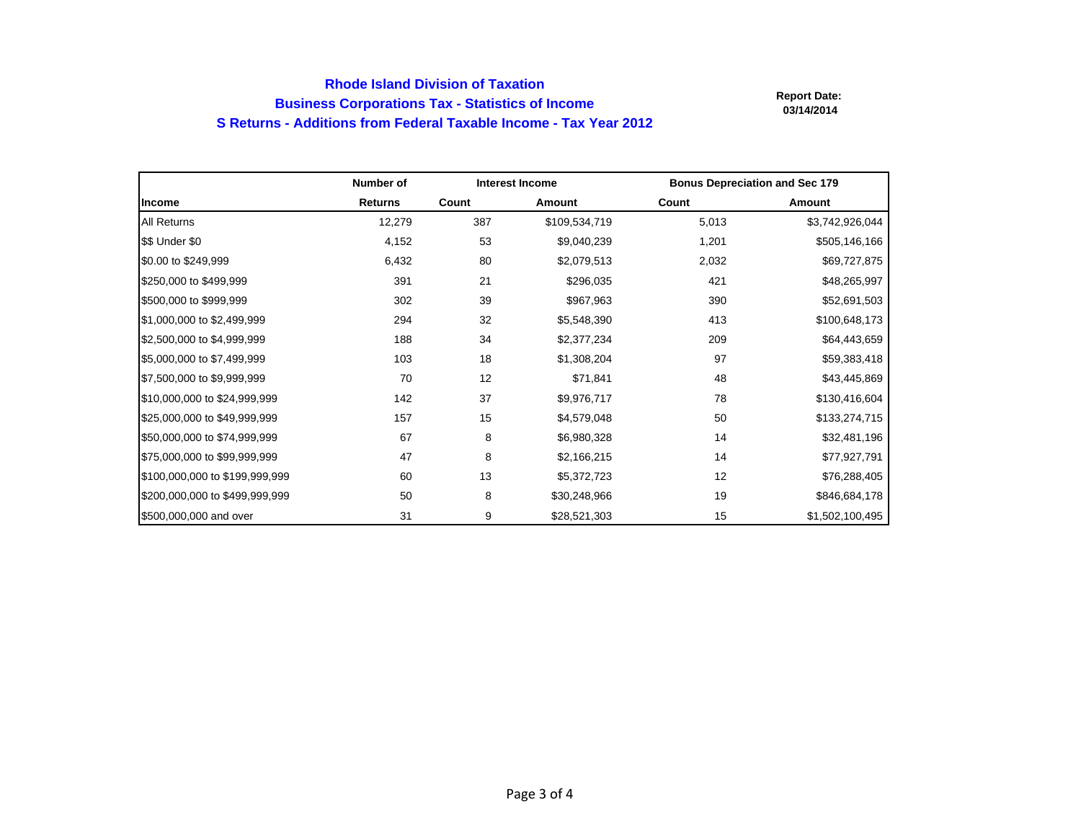## **Rhode Island Division of Taxation Business Corporations Tax - Statistics of Income S Returns - Additions from Federal Taxable Income - Tax Year 2012**

|                                | Number of      | <b>Interest Income</b> |               | <b>Bonus Depreciation and Sec 179</b> |                 |
|--------------------------------|----------------|------------------------|---------------|---------------------------------------|-----------------|
| Income                         | <b>Returns</b> | Count                  | <b>Amount</b> | Count                                 | Amount          |
| <b>All Returns</b>             | 12,279         | 387                    | \$109,534,719 | 5,013                                 | \$3,742,926,044 |
| \$\$ Under \$0                 | 4,152          | 53                     | \$9,040,239   | 1,201                                 | \$505,146,166   |
| \$0.00 to \$249,999            | 6,432          | 80                     | \$2,079,513   | 2,032                                 | \$69,727,875    |
| \$250,000 to \$499,999         | 391            | 21                     | \$296,035     | 421                                   | \$48,265,997    |
| \$500,000 to \$999,999         | 302            | 39                     | \$967,963     | 390                                   | \$52,691,503    |
| \$1,000,000 to \$2,499,999     | 294            | 32                     | \$5,548,390   | 413                                   | \$100,648,173   |
| \$2,500,000 to \$4,999,999     | 188            | 34                     | \$2,377,234   | 209                                   | \$64,443,659    |
| \$5,000,000 to \$7,499,999     | 103            | 18                     | \$1,308,204   | 97                                    | \$59,383,418    |
| \$7,500,000 to \$9,999,999     | 70             | 12                     | \$71,841      | 48                                    | \$43,445,869    |
| \$10,000,000 to \$24,999,999   | 142            | 37                     | \$9,976,717   | 78                                    | \$130,416,604   |
| \$25,000,000 to \$49,999,999   | 157            | 15                     | \$4,579,048   | 50                                    | \$133,274,715   |
| \$50,000,000 to \$74,999,999   | 67             | 8                      | \$6,980,328   | 14                                    | \$32,481,196    |
| \$75,000,000 to \$99,999,999   | 47             | 8                      | \$2,166,215   | 14                                    | \$77,927,791    |
| \$100,000,000 to \$199,999,999 | 60             | 13                     | \$5,372,723   | 12                                    | \$76,288,405    |
| \$200,000,000 to \$499,999,999 | 50             | 8                      | \$30,248,966  | 19                                    | \$846,684,178   |
| \$500,000,000 and over         | 31             | 9                      | \$28,521,303  | 15                                    | \$1,502,100,495 |